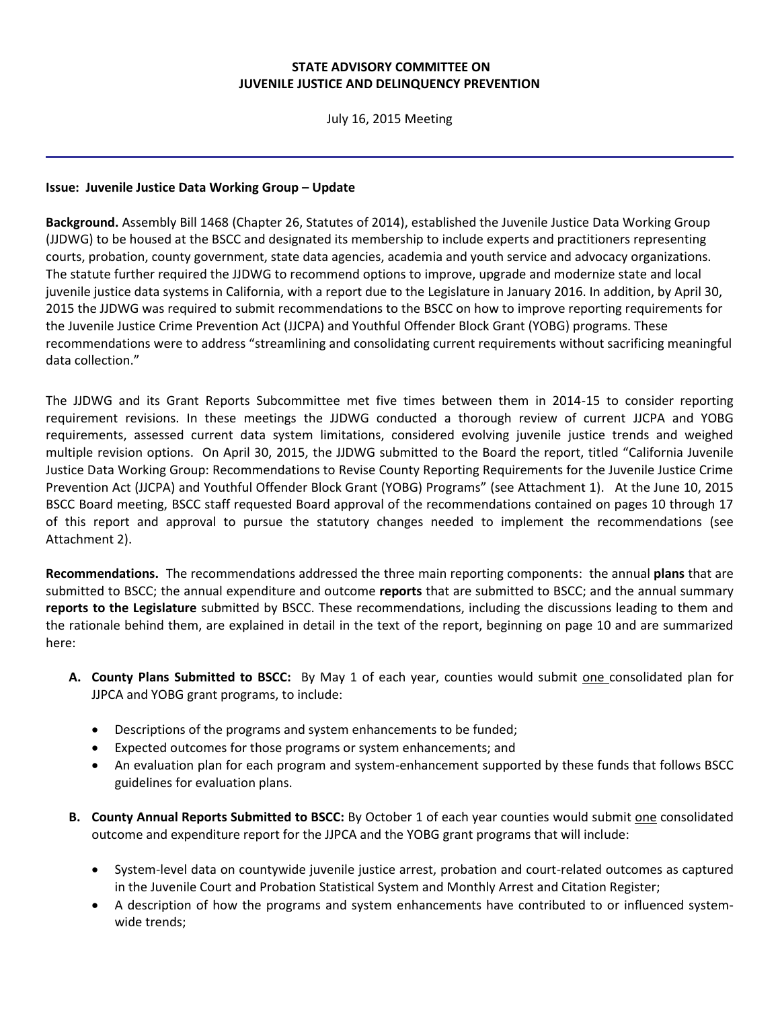## **STATE ADVISORY COMMITTEE ON JUVENILE JUSTICE AND DELINQUENCY PREVENTION**

July 16, 2015 Meeting

## **Issue: Juvenile Justice Data Working Group – Update**

**Background.** Assembly Bill 1468 (Chapter 26, Statutes of 2014), established the Juvenile Justice Data Working Group (JJDWG) to be housed at the BSCC and designated its membership to include experts and practitioners representing courts, probation, county government, state data agencies, academia and youth service and advocacy organizations. The statute further required the JJDWG to recommend options to improve, upgrade and modernize state and local juvenile justice data systems in California, with a report due to the Legislature in January 2016. In addition, by April 30, 2015 the JJDWG was required to submit recommendations to the BSCC on how to improve reporting requirements for the Juvenile Justice Crime Prevention Act (JJCPA) and Youthful Offender Block Grant (YOBG) programs. These recommendations were to address "streamlining and consolidating current requirements without sacrificing meaningful data collection."

The JJDWG and its Grant Reports Subcommittee met five times between them in 2014-15 to consider reporting requirement revisions. In these meetings the JJDWG conducted a thorough review of current JJCPA and YOBG requirements, assessed current data system limitations, considered evolving juvenile justice trends and weighed multiple revision options. On April 30, 2015, the JJDWG submitted to the Board the report, titled "California Juvenile Justice Data Working Group: Recommendations to Revise County Reporting Requirements for the Juvenile Justice Crime Prevention Act (JJCPA) and Youthful Offender Block Grant (YOBG) Programs" (see Attachment 1). At the June 10, 2015 BSCC Board meeting, BSCC staff requested Board approval of the recommendations contained on pages 10 through 17 of this report and approval to pursue the statutory changes needed to implement the recommendations (see Attachment 2).

**Recommendations.** The recommendations addressed the three main reporting components: the annual **plans** that are submitted to BSCC; the annual expenditure and outcome **reports** that are submitted to BSCC; and the annual summary **reports to the Legislature** submitted by BSCC. These recommendations, including the discussions leading to them and the rationale behind them, are explained in detail in the text of the report, beginning on page 10 and are summarized here:

- **A. County Plans Submitted to BSCC:** By May 1 of each year, counties would submit one consolidated plan for JJPCA and YOBG grant programs, to include:
	- Descriptions of the programs and system enhancements to be funded;
	- Expected outcomes for those programs or system enhancements; and
	- An evaluation plan for each program and system-enhancement supported by these funds that follows BSCC guidelines for evaluation plans.
- **B. County Annual Reports Submitted to BSCC:** By October 1 of each year counties would submit one consolidated outcome and expenditure report for the JJPCA and the YOBG grant programs that will include:
	- System-level data on countywide juvenile justice arrest, probation and court-related outcomes as captured in the Juvenile Court and Probation Statistical System and Monthly Arrest and Citation Register;
	- A description of how the programs and system enhancements have contributed to or influenced systemwide trends;